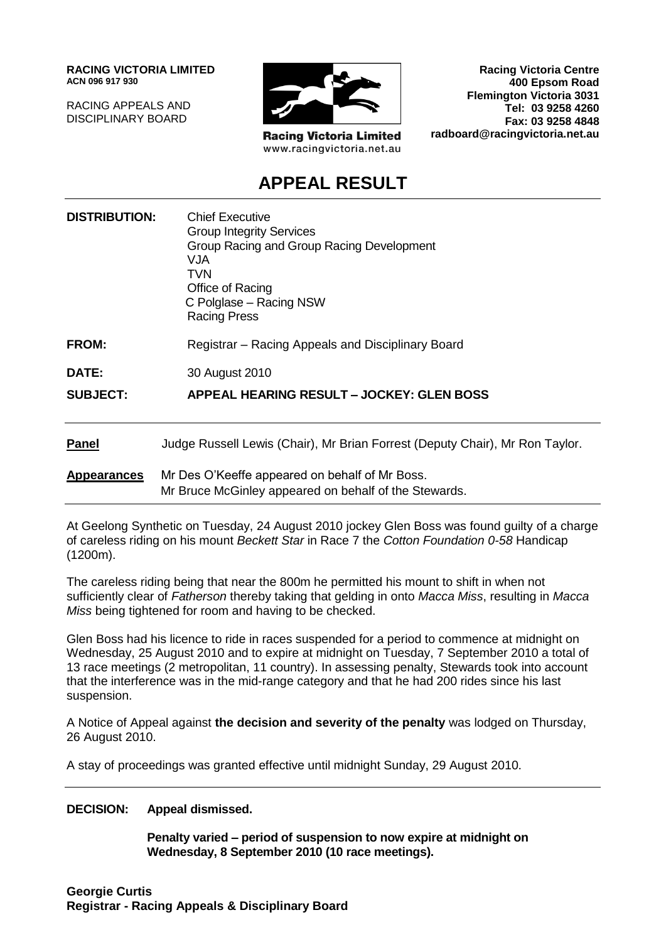**RACING VICTORIA LIMITED ACN 096 917 930**

RACING APPEALS AND DISCIPLINARY BOARD



**Racing Victoria Limited** www.racingvictoria.net.au

**Racing Victoria Centre 400 Epsom Road Flemington Victoria 3031 Tel: 03 9258 4260 Fax: 03 9258 4848 radboard@racingvictoria.net.au**

## **APPEAL RESULT**

| <b>DISTRIBUTION:</b> | <b>Chief Executive</b><br><b>Group Integrity Services</b><br>Group Racing and Group Racing Development<br>VJA<br>TVN<br>Office of Racing<br>C Polglase - Racing NSW<br><b>Racing Press</b> |
|----------------------|--------------------------------------------------------------------------------------------------------------------------------------------------------------------------------------------|
| <b>FROM:</b>         | Registrar – Racing Appeals and Disciplinary Board                                                                                                                                          |
| DATE:                | 30 August 2010                                                                                                                                                                             |
| <b>SUBJECT:</b>      | <b>APPEAL HEARING RESULT - JOCKEY: GLEN BOSS</b>                                                                                                                                           |
| <b>Panel</b>         | Judge Russell Lewis (Chair), Mr Brian Forrest (Deputy Chair), Mr Ron Taylor.                                                                                                               |
| <b>Appearances</b>   | Mr Des O'Keeffe appeared on behalf of Mr Boss.<br>Mr Bruce McGinley appeared on behalf of the Stewards.                                                                                    |

At Geelong Synthetic on Tuesday, 24 August 2010 jockey Glen Boss was found guilty of a charge of careless riding on his mount *Beckett Star* in Race 7 the *Cotton Foundation 0-58* Handicap (1200m).

The careless riding being that near the 800m he permitted his mount to shift in when not sufficiently clear of *Fatherson* thereby taking that gelding in onto *Macca Miss*, resulting in *Macca Miss* being tightened for room and having to be checked.

Glen Boss had his licence to ride in races suspended for a period to commence at midnight on Wednesday, 25 August 2010 and to expire at midnight on Tuesday, 7 September 2010 a total of 13 race meetings (2 metropolitan, 11 country). In assessing penalty, Stewards took into account that the interference was in the mid-range category and that he had 200 rides since his last suspension.

A Notice of Appeal against **the decision and severity of the penalty** was lodged on Thursday, 26 August 2010.

A stay of proceedings was granted effective until midnight Sunday, 29 August 2010.

**DECISION: Appeal dismissed.** 

**Penalty varied – period of suspension to now expire at midnight on Wednesday, 8 September 2010 (10 race meetings).**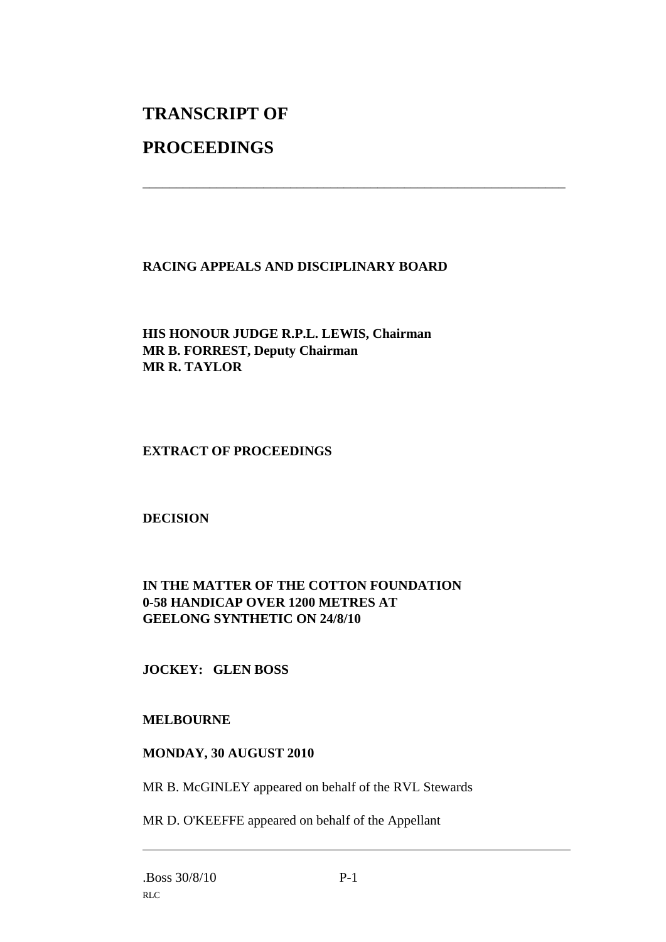# **TRANSCRIPT OF**

### **PROCEEDINGS**

#### **RACING APPEALS AND DISCIPLINARY BOARD**

\_\_\_\_\_\_\_\_\_\_\_\_\_\_\_\_\_\_\_\_\_\_\_\_\_\_\_\_\_\_\_\_\_\_\_\_\_\_\_\_\_\_\_\_\_\_\_\_\_\_\_\_\_\_\_\_\_\_\_\_\_\_\_

**HIS HONOUR JUDGE R.P.L. LEWIS, Chairman MR B. FORREST, Deputy Chairman MR R. TAYLOR**

#### **EXTRACT OF PROCEEDINGS**

**DECISION**

#### **IN THE MATTER OF THE COTTON FOUNDATION 0-58 HANDICAP OVER 1200 METRES AT GEELONG SYNTHETIC ON 24/8/10**

#### **JOCKEY: GLEN BOSS**

#### **MELBOURNE**

#### **MONDAY, 30 AUGUST 2010**

MR B. McGINLEY appeared on behalf of the RVL Stewards

MR D. O'KEEFFE appeared on behalf of the Appellant